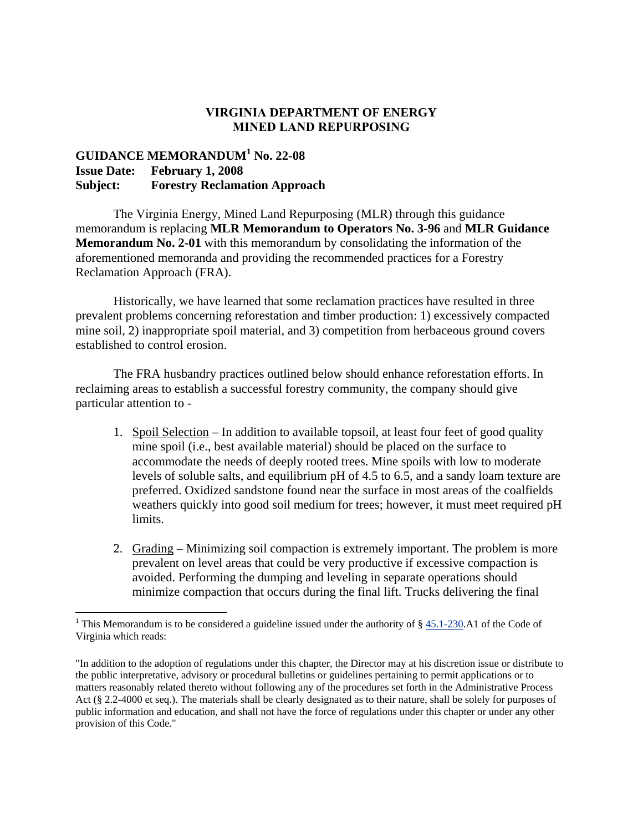## **VIRGINIA DEPARTMENT OF ENERGY MINED LAND REPURPOSING**

## **GUIDANCE MEMORANDUM<sup>1</sup> No. 22-08 Issue Date: February 1, 2008 Subject: Forestry Reclamation Approach**

The Virginia Energy, Mined Land Repurposing (MLR) through this guidance memorandum is replacing **MLR Memorandum to Operators No. 3-96** and **MLR Guidance Memorandum No. 2-01** with this memorandum by consolidating the information of the aforementioned memoranda and providing the recommended practices for a Forestry Reclamation Approach (FRA).

Historically, we have learned that some reclamation practices have resulted in three prevalent problems concerning reforestation and timber production: 1) excessively compacted mine soil, 2) inappropriate spoil material, and 3) competition from herbaceous ground covers established to control erosion.

The FRA husbandry practices outlined below should enhance reforestation efforts. In reclaiming areas to establish a successful forestry community, the company should give particular attention to -

- 1. Spoil Selection In addition to available topsoil, at least four feet of good quality mine spoil (i.e., best available material) should be placed on the surface to accommodate the needs of deeply rooted trees. Mine spoils with low to moderate levels of soluble salts, and equilibrium pH of 4.5 to 6.5, and a sandy loam texture are preferred. Oxidized sandstone found near the surface in most areas of the coalfields weathers quickly into good soil medium for trees; however, it must meet required pH limits.
- 2. Grading Minimizing soil compaction is extremely important. The problem is more prevalent on level areas that could be very productive if excessive compaction is avoided. Performing the dumping and leveling in separate operations should minimize compaction that occurs during the final lift. Trucks delivering the final

<sup>&</sup>lt;sup>1</sup> This Memorandum is to be considered a guideline issued under the authority of  $\S 45.1-230$ .A1 of the Code of Virginia which reads:

<sup>&</sup>quot;In addition to the adoption of regulations under this chapter, the Director may at his discretion issue or distribute to the public interpretative, advisory or procedural bulletins or guidelines pertaining to permit applications or to matters reasonably related thereto without following any of the procedures set forth in the Administrative Process Act (§ 2.2-4000 et seq.). The materials shall be clearly designated as to their nature, shall be solely for purposes of public information and education, and shall not have the force of regulations under this chapter or under any other provision of this Code."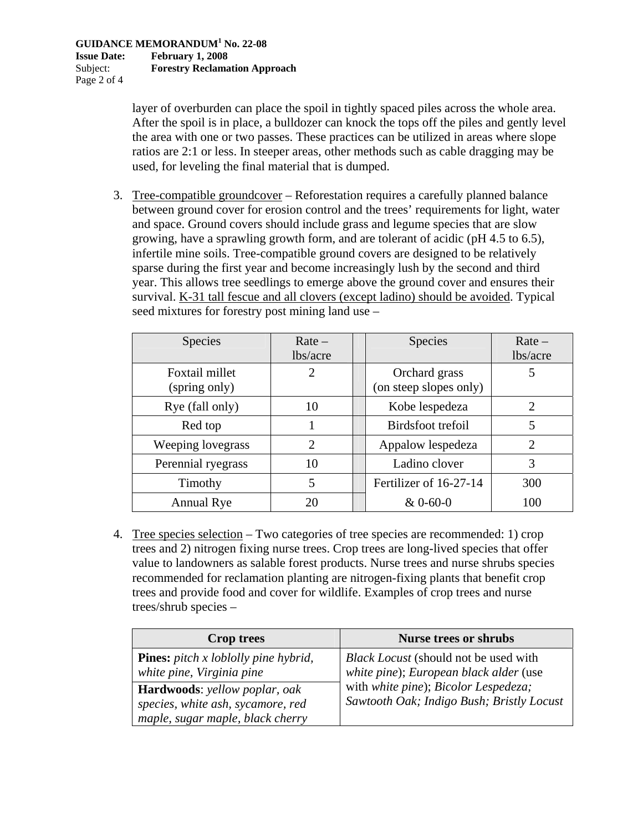layer of overburden can place the spoil in tightly spaced piles across the whole area. After the spoil is in place, a bulldozer can knock the tops off the piles and gently level the area with one or two passes. These practices can be utilized in areas where slope ratios are 2:1 or less. In steeper areas, other methods such as cable dragging may be used, for leveling the final material that is dumped.

3. Tree-compatible groundcover – Reforestation requires a carefully planned balance between ground cover for erosion control and the trees' requirements for light, water and space. Ground covers should include grass and legume species that are slow growing, have a sprawling growth form, and are tolerant of acidic (pH 4.5 to 6.5), infertile mine soils. Tree-compatible ground covers are designed to be relatively sparse during the first year and become increasingly lush by the second and third year. This allows tree seedlings to emerge above the ground cover and ensures their survival. K-31 tall fescue and all clovers (except ladino) should be avoided. Typical seed mixtures for forestry post mining land use –

| <b>Species</b>                  | $Rate -$<br>lbs/acre   | <b>Species</b>                          | $Rate -$<br>lbs/acre        |
|---------------------------------|------------------------|-----------------------------------------|-----------------------------|
| Foxtail millet<br>(spring only) | $\mathfrak{D}_{\cdot}$ | Orchard grass<br>(on steep slopes only) | 5                           |
| Rye (fall only)                 | 10                     | Kobe lespedeza                          | $\mathcal{D}_{\mathcal{L}}$ |
| Red top                         |                        | Birdsfoot trefoil                       | 5                           |
| Weeping lovegrass               | 2                      | Appalow lespedeza                       | $\overline{2}$              |
| Perennial ryegrass              | 10                     | Ladino clover                           | 3                           |
| Timothy                         | 5                      | Fertilizer of 16-27-14                  | 300                         |
| Annual Rye                      | 20                     | $& 0 - 60 - 0$                          | 100                         |

4. Tree species selection – Two categories of tree species are recommended: 1) crop trees and 2) nitrogen fixing nurse trees. Crop trees are long-lived species that offer value to landowners as salable forest products. Nurse trees and nurse shrubs species recommended for reclamation planting are nitrogen-fixing plants that benefit crop trees and provide food and cover for wildlife. Examples of crop trees and nurse trees/shrub species –

| <b>Crop trees</b>                                                                                             | <b>Nurse trees or shrubs</b>                                                      |  |
|---------------------------------------------------------------------------------------------------------------|-----------------------------------------------------------------------------------|--|
| <b>Pines:</b> pitch x loblolly pine hybrid,<br>white pine, Virginia pine                                      | Black Locust (should not be used with<br>white pine); European black alder (use   |  |
| <b>Hardwoods:</b> yellow poplar, oak<br>species, white ash, sycamore, red<br>maple, sugar maple, black cherry | with white pine); Bicolor Lespedeza;<br>Sawtooth Oak; Indigo Bush; Bristly Locust |  |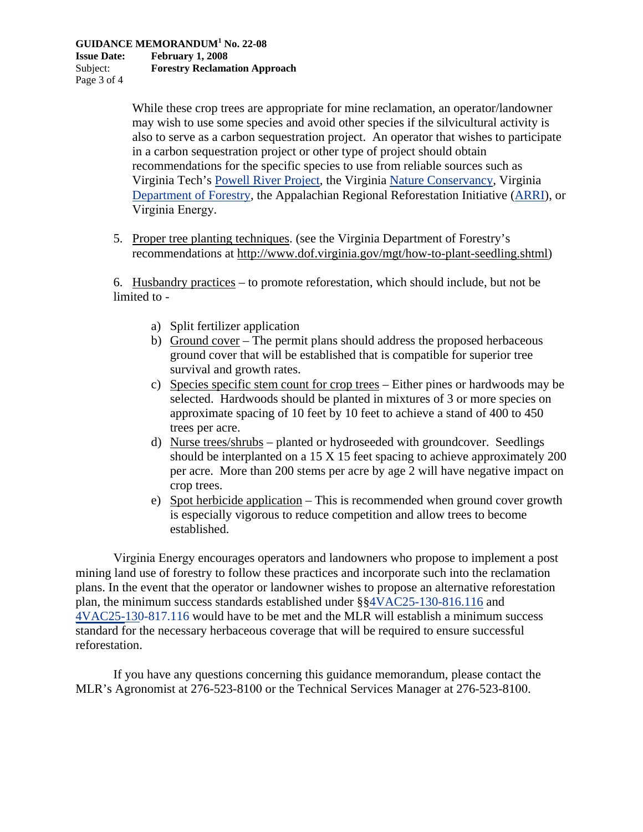**Issue Date: February 1, 2008**  Subject: **Forestry Reclamation Approach**  Page 3 of 4

> While these crop trees are appropriate for mine reclamation, an operator/landowner may wish to use some species and avoid other species if the silvicultural activity is also to serve as a carbon sequestration project. An operator that wishes to participate in a carbon sequestration project or other type of project should obtain recommendations for the specific species to use from reliable sources such as Virginia Tech's Powell River Project, the Virginia Nature Conservancy, Virginia Department of Forestry, the Appalachian Regional Reforestation Initiative (ARRI), or Virginia Energy.

5. Proper tree planting techniques. (see the Virginia Department of Forestry's recommendations at http://www.dof.virginia.gov/mgt/how-to-plant-seedling.shtml)

6. Husbandry practices – to promote reforestation, which should include, but not be limited to -

- a) Split fertilizer application
- b) Ground cover The permit plans should address the proposed herbaceous ground cover that will be established that is compatible for superior tree survival and growth rates.
- c) Species specific stem count for crop trees Either pines or hardwoods may be selected. Hardwoods should be planted in mixtures of 3 or more species on approximate spacing of 10 feet by 10 feet to achieve a stand of 400 to 450 trees per acre.
- d) Nurse trees/shrubs planted or hydroseeded with groundcover. Seedlings should be interplanted on a 15 X 15 feet spacing to achieve approximately 200 per acre. More than 200 stems per acre by age 2 will have negative impact on crop trees.
- e) Spot herbicide application This is recommended when ground cover growth is especially vigorous to reduce competition and allow trees to become established.

Virginia Energy encourages operators and landowners who propose to implement a post mining land use of forestry to follow these practices and incorporate such into the reclamation plans. In the event that the operator or landowner wishes to propose an alternative reforestation plan, the minimum success standards established under §§4VAC25-130-816.116 and 4VAC25-130-817.116 would have to be met and the MLR will establish a minimum success standard for the necessary herbaceous coverage that will be required to ensure successful reforestation.

If you have any questions concerning this guidance memorandum, please contact the MLR's Agronomist at 276-523-8100 or the Technical Services Manager at 276-523-8100.